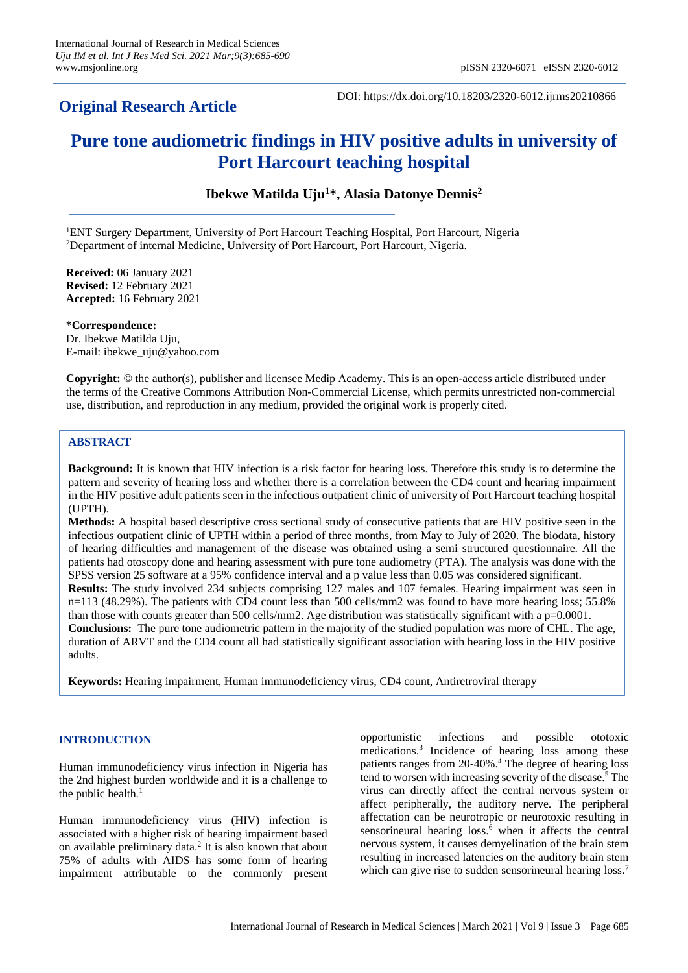# **Original Research Article**

DOI: https://dx.doi.org/10.18203/2320-6012.ijrms20210866

# **Pure tone audiometric findings in HIV positive adults in university of Port Harcourt teaching hospital**

**Ibekwe Matilda Uju<sup>1</sup>\*, Alasia Datonye Dennis<sup>2</sup>**

<sup>1</sup>ENT Surgery Department, University of Port Harcourt Teaching Hospital, Port Harcourt, Nigeria <sup>2</sup>Department of internal Medicine, University of Port Harcourt, Port Harcourt, Nigeria.

**Received:** 06 January 2021 **Revised:** 12 February 2021 **Accepted:** 16 February 2021

**\*Correspondence:** Dr. Ibekwe Matilda Uju, E-mail: ibekwe\_uju@yahoo.com

**Copyright:** © the author(s), publisher and licensee Medip Academy. This is an open-access article distributed under the terms of the Creative Commons Attribution Non-Commercial License, which permits unrestricted non-commercial use, distribution, and reproduction in any medium, provided the original work is properly cited.

# **ABSTRACT**

**Background:** It is known that HIV infection is a risk factor for hearing loss. Therefore this study is to determine the pattern and severity of hearing loss and whether there is a correlation between the CD4 count and hearing impairment in the HIV positive adult patients seen in the infectious outpatient clinic of university of Port Harcourt teaching hospital (UPTH).

**Methods:** A hospital based descriptive cross sectional study of consecutive patients that are HIV positive seen in the infectious outpatient clinic of UPTH within a period of three months, from May to July of 2020. The biodata, history of hearing difficulties and management of the disease was obtained using a semi structured questionnaire. All the patients had otoscopy done and hearing assessment with pure tone audiometry (PTA). The analysis was done with the SPSS version 25 software at a 95% confidence interval and a p value less than 0.05 was considered significant. **Results:** The study involved 234 subjects comprising 127 males and 107 females. Hearing impairment was seen in n=113 (48.29%). The patients with CD4 count less than 500 cells/mm2 was found to have more hearing loss; 55.8% than those with counts greater than 500 cells/mm2. Age distribution was statistically significant with a p=0.0001. **Conclusions:** The pure tone audiometric pattern in the majority of the studied population was more of CHL. The age, duration of ARVT and the CD4 count all had statistically significant association with hearing loss in the HIV positive adults.

**Keywords:** Hearing impairment, Human immunodeficiency virus, CD4 count, Antiretroviral therapy

# **INTRODUCTION**

Human immunodeficiency virus infection in Nigeria has the 2nd highest burden worldwide and it is a challenge to the public health. $<sup>1</sup>$ </sup>

Human immunodeficiency virus (HIV) infection is associated with a higher risk of hearing impairment based on available preliminary data.<sup>2</sup> It is also known that about 75% of adults with AIDS has some form of hearing impairment attributable to the commonly present opportunistic infections and possible ototoxic medications.<sup>3</sup> Incidence of hearing loss among these patients ranges from 20-40%.<sup>4</sup> The degree of hearing loss tend to worsen with increasing severity of the disease.<sup>5</sup> The virus can directly affect the central nervous system or affect peripherally, the auditory nerve. The peripheral affectation can be neurotropic or neurotoxic resulting in sensorineural hearing loss.<sup>6</sup> when it affects the central nervous system, it causes demyelination of the brain stem resulting in increased latencies on the auditory brain stem which can give rise to sudden sensorineural hearing loss.<sup>7</sup>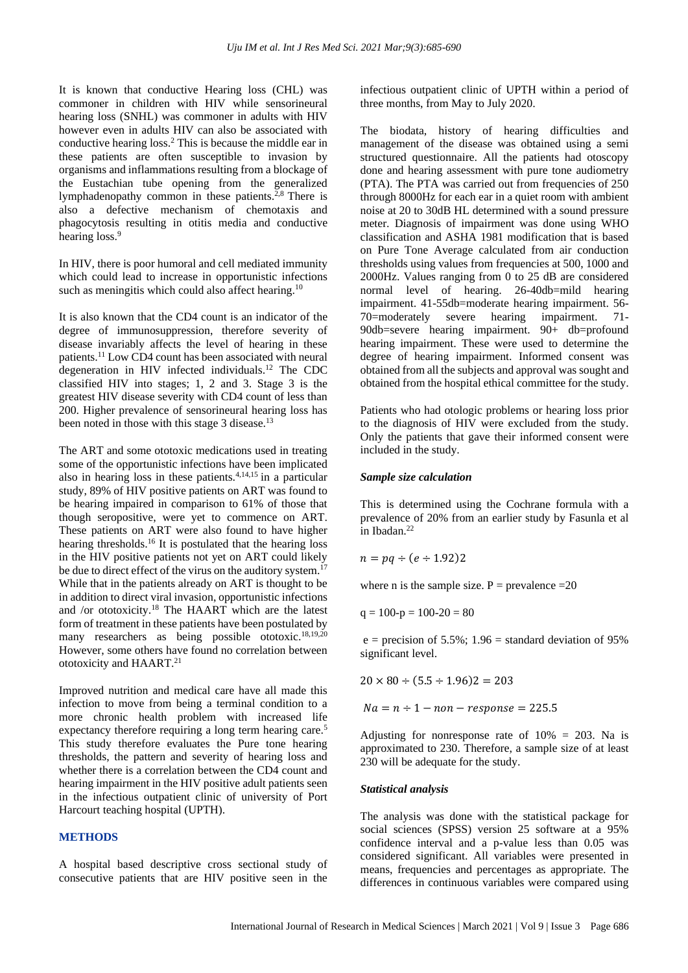It is known that conductive Hearing loss (CHL) was commoner in children with HIV while sensorineural hearing loss (SNHL) was commoner in adults with HIV however even in adults HIV can also be associated with conductive hearing loss.<sup>2</sup> This is because the middle ear in these patients are often susceptible to invasion by organisms and inflammations resulting from a blockage of the Eustachian tube opening from the generalized lymphadenopathy common in these patients. $2,8$  There is also a defective mechanism of chemotaxis and phagocytosis resulting in otitis media and conductive hearing loss.<sup>9</sup>

In HIV, there is poor humoral and cell mediated immunity which could lead to increase in opportunistic infections such as meningitis which could also affect hearing.<sup>10</sup>

It is also known that the CD4 count is an indicator of the degree of immunosuppression, therefore severity of disease invariably affects the level of hearing in these patients.<sup>11</sup> Low CD4 count has been associated with neural degeneration in HIV infected individuals.<sup>12</sup> The CDC classified HIV into stages; 1, 2 and 3. Stage 3 is the greatest HIV disease severity with CD4 count of less than 200. Higher prevalence of sensorineural hearing loss has been noted in those with this stage 3 disease.<sup>13</sup>

The ART and some ototoxic medications used in treating some of the opportunistic infections have been implicated also in hearing loss in these patients.  $4,14,15$  in a particular study, 89% of HIV positive patients on ART was found to be hearing impaired in comparison to 61% of those that though seropositive, were yet to commence on ART. These patients on ART were also found to have higher hearing thresholds.<sup>16</sup> It is postulated that the hearing loss in the HIV positive patients not yet on ART could likely be due to direct effect of the virus on the auditory system.<sup>17</sup> While that in the patients already on ART is thought to be in addition to direct viral invasion, opportunistic infections and /or ototoxicity.<sup>18</sup> The HAART which are the latest form of treatment in these patients have been postulated by many researchers as being possible ototoxic.<sup>18,19,20</sup> However, some others have found no correlation between ototoxicity and HAART.<sup>21</sup>

Improved nutrition and medical care have all made this infection to move from being a terminal condition to a more chronic health problem with increased life expectancy therefore requiring a long term hearing care.<sup>5</sup> This study therefore evaluates the Pure tone hearing thresholds, the pattern and severity of hearing loss and whether there is a correlation between the CD4 count and hearing impairment in the HIV positive adult patients seen in the infectious outpatient clinic of university of Port Harcourt teaching hospital (UPTH).

## **METHODS**

A hospital based descriptive cross sectional study of consecutive patients that are HIV positive seen in the infectious outpatient clinic of UPTH within a period of three months, from May to July 2020.

The biodata, history of hearing difficulties and management of the disease was obtained using a semi structured questionnaire. All the patients had otoscopy done and hearing assessment with pure tone audiometry (PTA). The PTA was carried out from frequencies of 250 through 8000Hz for each ear in a quiet room with ambient noise at 20 to 30dB HL determined with a sound pressure meter. Diagnosis of impairment was done using WHO classification and ASHA 1981 modification that is based on Pure Tone Average calculated from air conduction thresholds using values from frequencies at 500, 1000 and 2000Hz. Values ranging from 0 to 25 dB are considered normal level of hearing. 26-40db=mild hearing impairment. 41-55db=moderate hearing impairment. 56- 70=moderately severe hearing impairment. 71- 90db=severe hearing impairment. 90+ db=profound hearing impairment. These were used to determine the degree of hearing impairment. Informed consent was obtained from all the subjects and approval was sought and obtained from the hospital ethical committee for the study.

Patients who had otologic problems or hearing loss prior to the diagnosis of HIV were excluded from the study. Only the patients that gave their informed consent were included in the study.

#### *Sample size calculation*

This is determined using the Cochrane formula with a prevalence of 20% from an earlier study by Fasunla et al in Ibadan.<sup>22</sup>

$$
n = pq \div (e \div 1.92)2
$$

where n is the sample size.  $P =$  prevalence = 20

$$
q = 100-p = 100-20 = 80
$$

 $e = \text{precision of } 5.5\%$ ; 1.96 = standard deviation of 95% significant level.

$$
20 \times 80 \div (5.5 \div 1.96)2 = 203
$$

 $Na = n \div 1 - non - response = 225.5$ 

Adjusting for nonresponse rate of  $10\% = 203$ . Na is approximated to 230. Therefore, a sample size of at least 230 will be adequate for the study.

## *Statistical analysis*

The analysis was done with the statistical package for social sciences (SPSS) version 25 software at a 95% confidence interval and a p-value less than 0.05 was considered significant. All variables were presented in means, frequencies and percentages as appropriate. The differences in continuous variables were compared using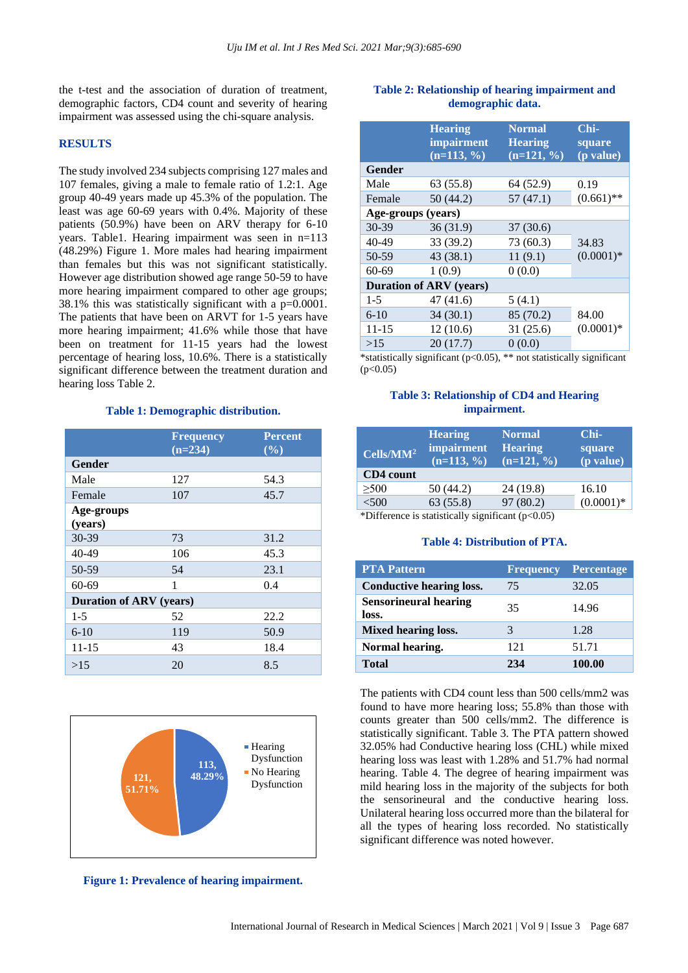the t-test and the association of duration of treatment, demographic factors, CD4 count and severity of hearing impairment was assessed using the chi-square analysis.

# **RESULTS**

The study involved 234 subjects comprising 127 males and 107 females, giving a male to female ratio of 1.2:1. Age group 40-49 years made up 45.3% of the population. The least was age 60-69 years with 0.4%. Majority of these patients (50.9%) have been on ARV therapy for 6-10 years. Table1. Hearing impairment was seen in n=113 (48.29%) Figure 1. More males had hearing impairment than females but this was not significant statistically. However age distribution showed age range 50-59 to have more hearing impairment compared to other age groups; 38.1% this was statistically significant with a p=0.0001. The patients that have been on ARVT for 1-5 years have more hearing impairment; 41.6% while those that have been on treatment for 11-15 years had the lowest percentage of hearing loss, 10.6%. There is a statistically significant difference between the treatment duration and hearing loss Table 2.

#### **Table 1: Demographic distribution.**

|                                | <b>Frequency</b><br>$(n=234)$ | <b>Percent</b><br>$(\%)$ |  |
|--------------------------------|-------------------------------|--------------------------|--|
| Gender                         |                               |                          |  |
| Male                           | 127                           | 54.3                     |  |
| Female                         | 107                           | 45.7                     |  |
| Age-groups<br>(years)          |                               |                          |  |
| 30-39                          | 73                            | 31.2                     |  |
| 40-49                          | 106                           | 45.3                     |  |
| 50-59                          | 54                            | 23.1                     |  |
| $60 - 69$                      | 1                             | 0.4                      |  |
| <b>Duration of ARV</b> (years) |                               |                          |  |
| $1 - 5$                        | 52                            | 22.2                     |  |
| $6 - 10$                       | 119                           | 50.9                     |  |
| $11 - 15$                      | 43                            | 18.4                     |  |
| >15                            | 20                            | 8.5                      |  |



**Figure 1: Prevalence of hearing impairment.**

# **Table 2: Relationship of hearing impairment and demographic data.**

|                                | <b>Hearing</b><br><i>impairment</i><br>$(n=113, %$ | Normal<br><b>Hearing</b><br>$(n=121, %$ | Chi-<br>square<br>(p value) |  |
|--------------------------------|----------------------------------------------------|-----------------------------------------|-----------------------------|--|
| Gender                         |                                                    |                                         |                             |  |
| Male                           | 63 (55.8)                                          | 64 (52.9)                               | 0.19                        |  |
| Female                         | 50(44.2)                                           | 57(47.1)                                | $(0.661)$ **                |  |
| Age-groups (years)             |                                                    |                                         |                             |  |
| 30-39                          | 36(31.9)                                           | 37(30.6)                                |                             |  |
| 40-49                          | 33 (39.2)                                          | 73 (60.3)                               | 34.83                       |  |
| 50-59                          | 43 (38.1)                                          | 11(9.1)                                 | $(0.0001)$ *                |  |
| $60 - 69$                      | 1(0.9)                                             | 0(0.0)                                  |                             |  |
| <b>Duration of ARV (years)</b> |                                                    |                                         |                             |  |
| $1 - 5$                        | 47 (41.6)                                          | 5(4.1)                                  |                             |  |
| $6 - 10$                       | 34(30.1)                                           | 85 (70.2)                               | 84.00                       |  |
| $11 - 15$                      | 12(10.6)                                           | 31(25.6)                                | $(0.0001)*$                 |  |
| >15                            | 20(17.7)                                           | 0(0.0)                                  |                             |  |

\*statistically significant (p<0.05), \*\* not statistically significant  $(p<0.05)$ 

# **Table 3: Relationship of CD4 and Hearing impairment.**

| Cells/MM <sup>2</sup> | <b>Hearing</b><br>impairment<br>$(n=113, %$                                                          | <b>Normal</b><br><b>Hearing</b><br>$(n=121, 2)$ | Chi-<br>square<br>(p value) |
|-----------------------|------------------------------------------------------------------------------------------------------|-------------------------------------------------|-----------------------------|
| CD4 count             |                                                                                                      |                                                 |                             |
| >500                  | 50 (44.2)                                                                                            | 24 (19.8)                                       | 16.10                       |
| < 500                 | 63(55.8)                                                                                             | 97(80.2)                                        | $(0.0001)$ *                |
|                       | $*D: \mathcal{L}_{\text{m}} \to \mathcal{L}_{\text{m}}$ is definited in the standard $(\pi, \theta)$ |                                                 |                             |

\*Difference is statistically significant (p<0.05)

## **Table 4: Distribution of PTA.**

| <b>PTA Pattern</b>                    | Frequency | <b>Percentage</b> |
|---------------------------------------|-----------|-------------------|
| <b>Conductive hearing loss.</b>       | 75        | 32.05             |
| <b>Sensorineural hearing</b><br>loss. | 35        | 14.96             |
| <b>Mixed hearing loss.</b>            |           | 1.28              |
| Normal hearing.                       | 121       | 51.71             |
| Total                                 | 234       | 100.00            |

The patients with CD4 count less than 500 cells/mm2 was found to have more hearing loss; 55.8% than those with counts greater than 500 cells/mm2. The difference is statistically significant. Table 3. The PTA pattern showed 32.05% had Conductive hearing loss (CHL) while mixed hearing loss was least with 1.28% and 51.7% had normal hearing. Table 4. The degree of hearing impairment was mild hearing loss in the majority of the subjects for both the sensorineural and the conductive hearing loss. Unilateral hearing loss occurred more than the bilateral for all the types of hearing loss recorded. No statistically significant difference was noted however.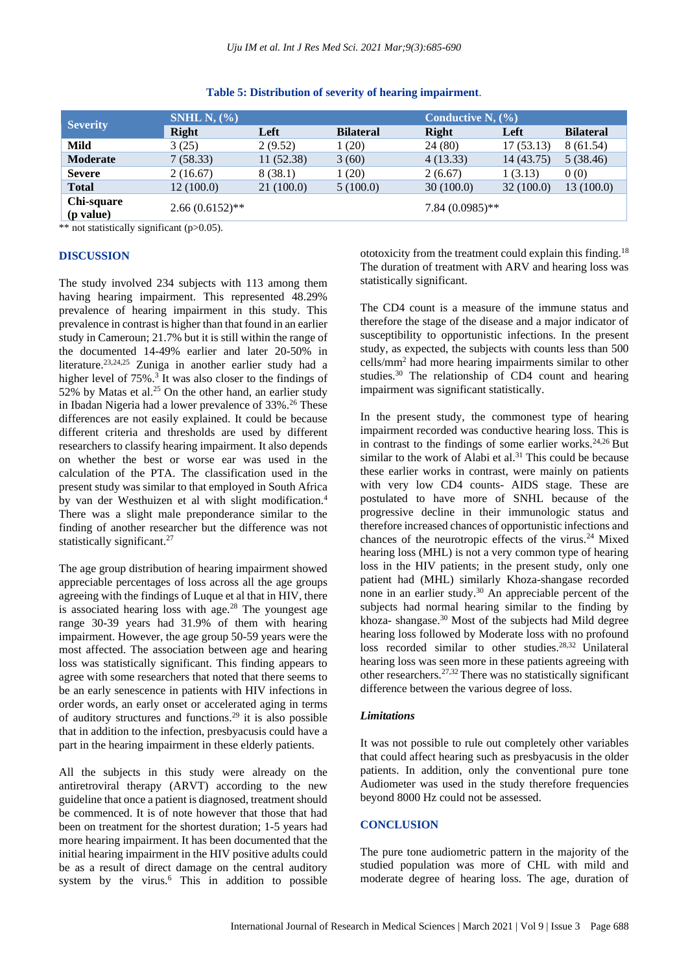| <b>Severity</b> | SNHL N, $(\%$     |           |                   | Conductive N, $(\% )$ |            |                  |
|-----------------|-------------------|-----------|-------------------|-----------------------|------------|------------------|
|                 | Right             | Left      | <b>Bilateral</b>  | <b>Right</b>          | Left       | <b>Bilateral</b> |
| Mild            | 3(25)             | 2(9.52)   | 1(20)             | 24(80)                | 17(53.13)  | 8(61.54)         |
| <b>Moderate</b> | 7(58.33)          | 11(52.38) | 3(60)             | 4(13.33)              | 14 (43.75) | 5(38.46)         |
| <b>Severe</b>   | 2(16.67)          | 8 (38.1)  | 1(20)             | 2(6.67)               | 1(3.13)    | 0(0)             |
| <b>Total</b>    | 12(100.0)         | 21(100.0) | 5(100.0)          | 30(100.0)             | 32(100.0)  | 13(100.0)        |
| Chi-square      | $2.66(0.6152)$ ** |           | $7.84(0.0985)$ ** |                       |            |                  |
| (p value)       |                   |           |                   |                       |            |                  |

#### **Table 5: Distribution of severity of hearing impairment**.

\*\* not statistically significant (p>0.05).

#### **DISCUSSION**

The study involved 234 subjects with 113 among them having hearing impairment. This represented 48.29% prevalence of hearing impairment in this study. This prevalence in contrast is higher than that found in an earlier study in Cameroun; 21.7% but it is still within the range of the documented 14-49% earlier and later 20-50% in literature.23,24,25 Zuniga in another earlier study had a higher level of 75%.<sup>3</sup> It was also closer to the findings of 52% by Matas et al.<sup>25</sup> On the other hand, an earlier study in Ibadan Nigeria had a lower prevalence of 33%.<sup>26</sup> These differences are not easily explained. It could be because different criteria and thresholds are used by different researchers to classify hearing impairment. It also depends on whether the best or worse ear was used in the calculation of the PTA. The classification used in the present study was similar to that employed in South Africa by van der Westhuizen et al with slight modification.<sup>4</sup> There was a slight male preponderance similar to the finding of another researcher but the difference was not statistically significant.<sup>27</sup>

The age group distribution of hearing impairment showed appreciable percentages of loss across all the age groups agreeing with the findings of Luque et al that in HIV, there is associated hearing loss with age.<sup>28</sup> The youngest age range 30-39 years had 31.9% of them with hearing impairment. However, the age group 50-59 years were the most affected. The association between age and hearing loss was statistically significant. This finding appears to agree with some researchers that noted that there seems to be an early senescence in patients with HIV infections in order words, an early onset or accelerated aging in terms of auditory structures and functions.<sup>29</sup> it is also possible that in addition to the infection, presbyacusis could have a part in the hearing impairment in these elderly patients.

All the subjects in this study were already on the antiretroviral therapy (ARVT) according to the new guideline that once a patient is diagnosed, treatment should be commenced. It is of note however that those that had been on treatment for the shortest duration; 1-5 years had more hearing impairment. It has been documented that the initial hearing impairment in the HIV positive adults could be as a result of direct damage on the central auditory system by the virus.<sup>6</sup> This in addition to possible ototoxicity from the treatment could explain this finding.<sup>18</sup> The duration of treatment with ARV and hearing loss was statistically significant.

The CD4 count is a measure of the immune status and therefore the stage of the disease and a major indicator of susceptibility to opportunistic infections. In the present study, as expected, the subjects with counts less than 500 cells/mm<sup>2</sup> had more hearing impairments similar to other studies.<sup>30</sup> The relationship of CD4 count and hearing impairment was significant statistically.

In the present study, the commonest type of hearing impairment recorded was conductive hearing loss. This is in contrast to the findings of some earlier works.<sup>24,26</sup> But similar to the work of Alabi et al.<sup>31</sup> This could be because these earlier works in contrast, were mainly on patients with very low CD4 counts- AIDS stage. These are postulated to have more of SNHL because of the progressive decline in their immunologic status and therefore increased chances of opportunistic infections and chances of the neurotropic effects of the virus.<sup>24</sup> Mixed hearing loss (MHL) is not a very common type of hearing loss in the HIV patients; in the present study, only one patient had (MHL) similarly Khoza-shangase recorded none in an earlier study.<sup>30</sup> An appreciable percent of the subjects had normal hearing similar to the finding by khoza- shangase.<sup>30</sup> Most of the subjects had Mild degree hearing loss followed by Moderate loss with no profound loss recorded similar to other studies.<sup>28,32</sup> Unilateral hearing loss was seen more in these patients agreeing with other researchers.27,32 There was no statistically significant difference between the various degree of loss.

## *Limitations*

It was not possible to rule out completely other variables that could affect hearing such as presbyacusis in the older patients. In addition, only the conventional pure tone Audiometer was used in the study therefore frequencies beyond 8000 Hz could not be assessed.

# **CONCLUSION**

The pure tone audiometric pattern in the majority of the studied population was more of CHL with mild and moderate degree of hearing loss. The age, duration of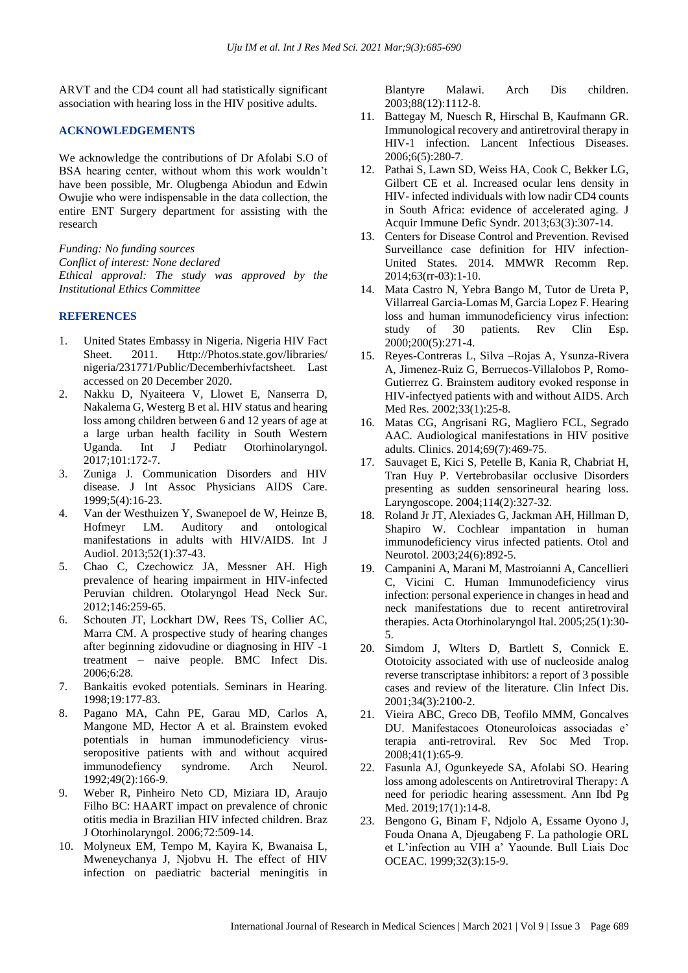ARVT and the CD4 count all had statistically significant association with hearing loss in the HIV positive adults.

## **ACKNOWLEDGEMENTS**

We acknowledge the contributions of Dr Afolabi S.O of BSA hearing center, without whom this work wouldn't have been possible, Mr. Olugbenga Abiodun and Edwin Owujie who were indispensable in the data collection, the entire ENT Surgery department for assisting with the research

*Funding: No funding sources Conflict of interest: None declared Ethical approval: The study was approved by the Institutional Ethics Committee*

# **REFERENCES**

- 1. United States Embassy in Nigeria. Nigeria HIV Fact Sheet. 2011. Http://Photos.state.gov/libraries/ nigeria/231771/Public/Decemberhivfactsheet. Last accessed on 20 December 2020.
- 2. Nakku D, Nyaiteera V, Llowet E, Nanserra D, Nakalema G, Westerg B et al. HIV status and hearing loss among children between 6 and 12 years of age at a large urban health facility in South Western Uganda. Int J Pediatr Otorhinolaryngol. 2017;101:172-7.
- 3. Zuniga J. Communication Disorders and HIV disease. J Int Assoc Physicians AIDS Care. 1999;5(4):16-23.
- 4. Van der Westhuizen Y, Swanepoel de W, Heinze B, Hofmeyr LM. Auditory and ontological manifestations in adults with HIV/AIDS. Int J Audiol. 2013;52(1):37-43.
- 5. Chao C, Czechowicz JA, Messner AH. High prevalence of hearing impairment in HIV-infected Peruvian children. Otolaryngol Head Neck Sur. 2012;146:259-65.
- 6. Schouten JT, Lockhart DW, Rees TS, Collier AC, Marra CM. A prospective study of hearing changes after beginning zidovudine or diagnosing in HIV -1 treatment – naive people. BMC Infect Dis. 2006;6:28.
- 7. Bankaitis evoked potentials. Seminars in Hearing. 1998;19:177-83.
- 8. Pagano MA, Cahn PE, Garau MD, Carlos A, Mangone MD, Hector A et al. Brainstem evoked potentials in human immunodeficiency virusseropositive patients with and without acquired immunodefiency syndrome. Arch Neurol. 1992;49(2):166-9.
- 9. Weber R, Pinheiro Neto CD, Miziara ID, Araujo Filho BC: HAART impact on prevalence of chronic otitis media in Brazilian HIV infected children. Braz J Otorhinolaryngol. 2006;72:509-14.
- 10. Molyneux EM, Tempo M, Kayira K, Bwanaisa L, Mweneychanya J, Njobvu H. The effect of HIV infection on paediatric bacterial meningitis in

Blantyre Malawi. Arch Dis children. 2003;88(12):1112-8.

- 11. Battegay M, Nuesch R, Hirschal B, Kaufmann GR. Immunological recovery and antiretroviral therapy in HIV-1 infection. Lancent Infectious Diseases. 2006;6(5):280-7.
- 12. Pathai S, Lawn SD, Weiss HA, Cook C, Bekker LG, Gilbert CE et al. Increased ocular lens density in HIV- infected individuals with low nadir CD4 counts in South Africa: evidence of accelerated aging. J Acquir Immune Defic Syndr. 2013;63(3):307-14.
- 13. Centers for Disease Control and Prevention. Revised Surveillance case definition for HIV infection-United States. 2014. MMWR Recomm Rep. 2014;63(rr-03):1-10.
- 14. Mata Castro N, Yebra Bango M, Tutor de Ureta P, Villarreal Garcia-Lomas M, Garcia Lopez F. Hearing loss and human immunodeficiency virus infection: study of 30 patients. Rev Clin Esp. 2000;200(5):271-4.
- 15. Reyes-Contreras L, Silva –Rojas A, Ysunza-Rivera A, Jimenez-Ruiz G, Berruecos-Villalobos P, Romo-Gutierrez G. Brainstem auditory evoked response in HIV-infectyed patients with and without AIDS. Arch Med Res. 2002;33(1):25-8.
- 16. Matas CG, Angrisani RG, Magliero FCL, Segrado AAC. Audiological manifestations in HIV positive adults. Clinics. 2014;69(7):469-75.
- 17. Sauvaget E, Kici S, Petelle B, Kania R, Chabriat H, Tran Huy P. Vertebrobasilar occlusive Disorders presenting as sudden sensorineural hearing loss. Laryngoscope. 2004;114(2):327-32.
- 18. Roland Jr JT, Alexiades G, Jackman AH, Hillman D, Shapiro W. Cochlear impantation in human immunodeficiency virus infected patients. Otol and Neurotol. 2003;24(6):892-5.
- 19. Campanini A, Marani M, Mastroianni A, Cancellieri C, Vicini C. Human Immunodeficiency virus infection: personal experience in changes in head and neck manifestations due to recent antiretroviral therapies. Acta Otorhinolaryngol Ital. 2005;25(1):30- 5.
- 20. Simdom J, Wlters D, Bartlett S, Connick E. Ototoicity associated with use of nucleoside analog reverse transcriptase inhibitors: a report of 3 possible cases and review of the literature. Clin Infect Dis. 2001;34(3):2100-2.
- 21. Vieira ABC, Greco DB, Teofilo MMM, Goncalves DU. Manifestacoes Otoneuroloicas associadas e' terapia anti-retroviral. Rev Soc Med Trop. 2008;41(1):65-9.
- 22. Fasunla AJ, Ogunkeyede SA, Afolabi SO. Hearing loss among adolescents on Antiretroviral Therapy: A need for periodic hearing assessment. Ann Ibd Pg Med. 2019;17(1):14-8.
- 23. Bengono G, Binam F, Ndjolo A, Essame Oyono J, Fouda Onana A, Djeugabeng F. La pathologie ORL et L'infection au VIH a' Yaounde. Bull Liais Doc OCEAC. 1999;32(3):15-9.